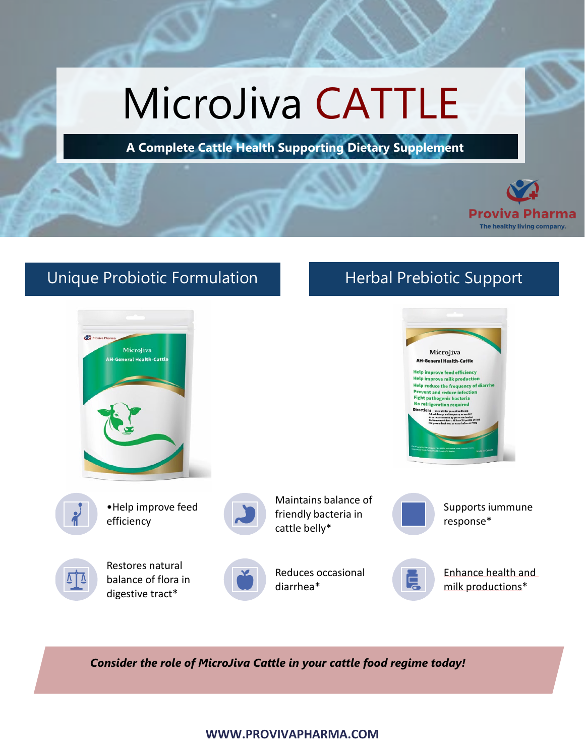# MicroJiva CATTLE

**A Complete Cattle Health Supporting Dietary Supplement**



# Unique Probiotic Formulation Herbal Prebiotic Support



*Consider the role of MicroJiva Cattle in your cattle food regime today!*

#### **WWW.PROVIVAPHARMA.COM**